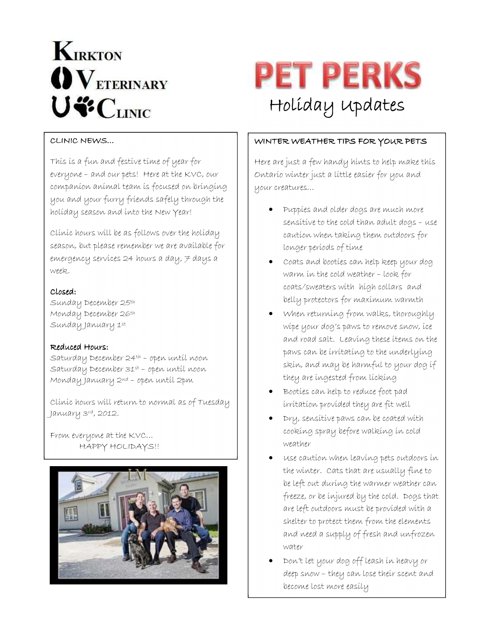# **KIRKTON**  $\mathbf{O}\mathbf{V}_{\text{ETERINARY}}$ U"CLINIC



## CLINIC NEWS…

This is a fun and festive time of year for everyone – and our pets! Here at the KVC, our companion animal team is focused on bringing you and your furry friends safely through the holiday season and into the New Year!

Clinic hours will be as follows over the holiday season, but please remember we are available for emergency services 24 hours a day,  $\neq$  days a week.

### Closed: Closed:

Sunday December 25th Monday December 26th Sunday January 1st

#### Reduced Hours:

Saturday December 24th – open until noon Saturday December 31st – open until noon Monday January 2nd – open until 2pm

Clinic hours will return to normal as of Tuesday January 3rd, 2012.

From everyone at the KVC… HAPPY HOLIDAYS!!



#### WINTER WEATHER TIPS FOR YOUR PETS

Here are just a few handy hints to help make this Ontario winter just a little easier for you and your creatures…

- Puppies and older dogs are much more sensitive to the cold than adult dogs – use caution when taking them outdoors for longer periods of time
- Coats and booties can help keep your dog warm in the cold weather – look for coats/sweaters with high collars and belly protectors for maximum warmth
- When returning from walks, thoroughly wipe your dog's paws to remove snow, ice and road salt. Leaving these items on the paws can be irritating to the underlying skin, and may be harmful to your dog if they are ingested from licking
- Booties can help to reduce foot pad irritation provided they are fit well
- Dry, sensitive paws can be coated with cooking spray before walking in cold weather
- Use caution when leaving pets outdoors in the winter. Cats that are usually fine to be left out during the warmer weather can freeze, or be injured by the cold. Dogs that are left outdoors must be provided with a shelter to protect them from the elements and need a supply of fresh and unfrozen water
- Don't let your dog off leash in heavy or deep snow – they can lose their scent and become lost more easily